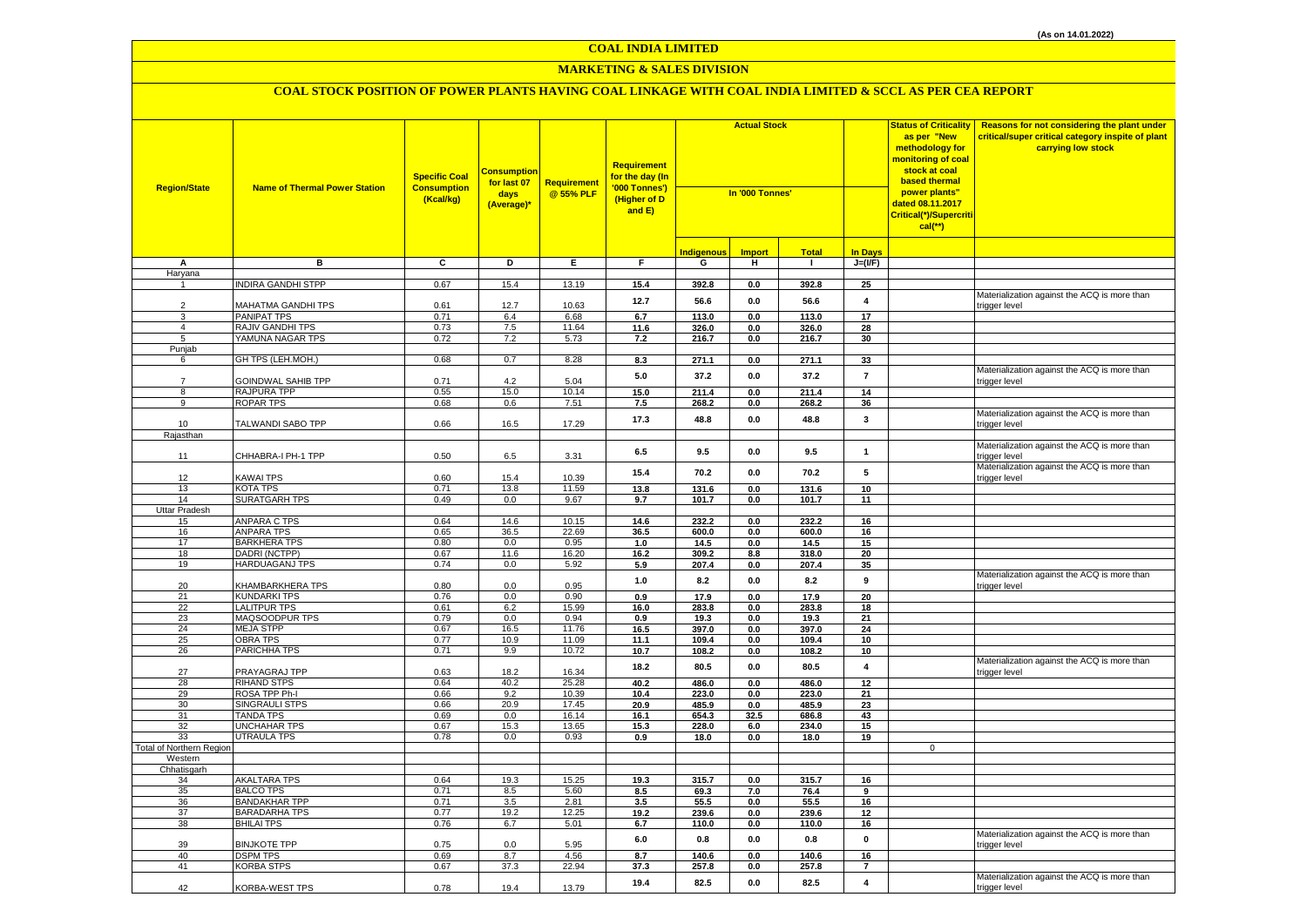## **MARKETING & SALES DIVISION**

| <b>Region/State</b>      | <b>Name of Thermal Power Station</b>      | <b>Specific Coal</b><br><b>Consumption</b><br>(Kcal/kg) | Consumption<br>for last 07<br>days<br>(Average)* | <b>Requirement</b><br>@ 55% PLF | <b>Requirement</b><br>for the day (In<br>'000 Tonnes')<br>(Higher of D<br>and E) | <b>Actual Stock</b><br>In '000 Tonnes' |                |                  | <b>Status of Criticality</b><br>as per "New<br>methodology for<br><mark>monitoring of coal</mark><br>stock at coal<br><b>based thermal</b><br>power plants"<br>dated 08.11.2017<br>Critical(*)/Supercriti<br>$cal$ (**) | Reasons for not considering the plant under<br>critical/super critical category inspite of plant<br>carrying low stock |                                                               |
|--------------------------|-------------------------------------------|---------------------------------------------------------|--------------------------------------------------|---------------------------------|----------------------------------------------------------------------------------|----------------------------------------|----------------|------------------|-------------------------------------------------------------------------------------------------------------------------------------------------------------------------------------------------------------------------|------------------------------------------------------------------------------------------------------------------------|---------------------------------------------------------------|
|                          |                                           |                                                         |                                                  |                                 |                                                                                  |                                        |                |                  |                                                                                                                                                                                                                         |                                                                                                                        |                                                               |
|                          |                                           |                                                         |                                                  |                                 |                                                                                  | Indigenous                             | <b>Import</b>  | <b>Total</b>     | <b>In Days</b>                                                                                                                                                                                                          |                                                                                                                        |                                                               |
| А<br>Haryana             | в                                         | C                                                       | D                                                | E.                              | F.                                                                               | G                                      | н.             | $\mathbf{I}$     | $J=(I/F)$                                                                                                                                                                                                               |                                                                                                                        |                                                               |
|                          | <b>INDIRA GANDHI STPP</b>                 | 0.67                                                    | 15.4                                             | 13.19                           | 15.4                                                                             | 392.8                                  | $0.0\,$        | 392.8            | 25                                                                                                                                                                                                                      |                                                                                                                        |                                                               |
| $\overline{2}$           | MAHATMA GANDHI TPS                        | 0.61                                                    | 12.7                                             | 10.63                           | 12.7                                                                             | 56.6                                   | 0.0            | 56.6             | $\overline{\mathbf{4}}$                                                                                                                                                                                                 |                                                                                                                        | Materialization against the ACQ is more than<br>trigger level |
| 3                        | PANIPAT TPS                               | 0.71                                                    | 6.4                                              | 6.68                            | 6.7                                                                              | 113.0                                  | 0.0            | 113.0            | $\overline{17}$                                                                                                                                                                                                         |                                                                                                                        |                                                               |
| $\overline{4}$           | RAJIV GANDHI TPS                          | 0.73                                                    | 7.5                                              | 11.64                           | 11.6                                                                             | 326.0                                  | 0.0            | 326.0            | 28                                                                                                                                                                                                                      |                                                                                                                        |                                                               |
| 5                        | YAMUNA NAGAR TPS                          | 0.72                                                    | $7.2\,$                                          | 5.73                            | 7.2                                                                              | 216.7                                  | 0.0            | 216.7            | 30                                                                                                                                                                                                                      |                                                                                                                        |                                                               |
| Punjab                   |                                           |                                                         |                                                  |                                 |                                                                                  |                                        |                |                  |                                                                                                                                                                                                                         |                                                                                                                        |                                                               |
| 6                        | GH TPS (LEH.MOH.)                         | 0.68                                                    | 0.7                                              | 8.28                            | 8.3                                                                              | 271.1                                  | 0.0            | 271.1            | 33                                                                                                                                                                                                                      |                                                                                                                        | Materialization against the ACQ is more than                  |
| $\overline{7}$           | <b>GOINDWAL SAHIB TPP</b>                 | 0.71                                                    | 4.2                                              | 5.04                            | 5.0                                                                              | 37.2                                   | 0.0            | 37.2             | $\overline{7}$                                                                                                                                                                                                          |                                                                                                                        | trigger level                                                 |
| 8                        | RAJPURA TPP                               | 0.55                                                    | 15.0                                             | 10.14                           | 15.0                                                                             | 211.4                                  | 0.0            | 211.4            | 14                                                                                                                                                                                                                      |                                                                                                                        |                                                               |
| 9                        | <b>ROPAR TPS</b>                          | 0.68                                                    | 0.6                                              | 7.51                            | 7.5                                                                              | 268.2                                  | 0.0            | 268.2            | 36                                                                                                                                                                                                                      |                                                                                                                        |                                                               |
| 10                       | TALWANDI SABO TPP                         | 0.66                                                    | 16.5                                             | 17.29                           | 17.3                                                                             | 48.8                                   | $0.0\,$        | 48.8             | 3                                                                                                                                                                                                                       |                                                                                                                        | Materialization against the ACQ is more than<br>trigger level |
| Rajasthan                |                                           |                                                         |                                                  |                                 |                                                                                  |                                        |                |                  |                                                                                                                                                                                                                         |                                                                                                                        |                                                               |
| 11                       | CHHABRA-I PH-1 TPP                        | 0.50                                                    | 6.5                                              | 3.31                            | 6.5                                                                              | 9.5                                    | 0.0            | 9.5              | $\mathbf{1}$                                                                                                                                                                                                            |                                                                                                                        | Materialization against the ACQ is more than<br>rigger level  |
|                          |                                           |                                                         |                                                  |                                 | 15.4                                                                             | 70.2                                   | 0.0            | 70.2             | 5                                                                                                                                                                                                                       |                                                                                                                        | Materialization against the ACQ is more than                  |
| 12                       | <b>KAWAI TPS</b>                          | 0.60                                                    | 15.4                                             | 10.39                           |                                                                                  |                                        |                |                  |                                                                                                                                                                                                                         |                                                                                                                        | trigger level                                                 |
| 13<br>14                 | KOTA TPS<br><b>SURATGARH TPS</b>          | 0.71<br>0.49                                            | 13.8<br>0.0                                      | 11.59<br>9.67                   | 13.8<br>9.7                                                                      | 131.6<br>101.7                         | 0.0<br>0.0     | 131.6<br>101.7   | 10<br>11                                                                                                                                                                                                                |                                                                                                                        |                                                               |
| <b>Uttar Pradesh</b>     |                                           |                                                         |                                                  |                                 |                                                                                  |                                        |                |                  |                                                                                                                                                                                                                         |                                                                                                                        |                                                               |
| 15                       | <b>ANPARA C TPS</b>                       | 0.64                                                    | 14.6                                             | 10.15                           | 14.6                                                                             | 232.2                                  | 0.0            | 232.2            | 16                                                                                                                                                                                                                      |                                                                                                                        |                                                               |
| 16                       | <b>ANPARA TPS</b>                         | 0.65                                                    | 36.5                                             | 22.69                           | 36.5                                                                             | 600.0                                  | 0.0            | 600.0            | 16                                                                                                                                                                                                                      |                                                                                                                        |                                                               |
| 17                       | <b>BARKHERA TPS</b>                       | 0.80                                                    | 0.0                                              | 0.95                            | 1.0                                                                              | 14.5                                   | 0.0            | 14.5             | 15                                                                                                                                                                                                                      |                                                                                                                        |                                                               |
| 18                       | DADRI (NCTPP)                             | 0.67                                                    | 11.6                                             | 16.20                           | 16.2                                                                             | 309.2                                  | 8.8            | 318.0            | 20                                                                                                                                                                                                                      |                                                                                                                        |                                                               |
| 19                       | <b>HARDUAGANJ TPS</b>                     | 0.74                                                    | 0.0                                              | 5.92                            | 5.9                                                                              | 207.4                                  | $0.0\,$        | 207.4            | 35                                                                                                                                                                                                                      |                                                                                                                        |                                                               |
| 20                       | KHAMBARKHERA TPS                          | 0.80                                                    | 0.0                                              | 0.95                            | 1.0                                                                              | 8.2                                    | 0.0            | 8.2              | 9                                                                                                                                                                                                                       |                                                                                                                        | Materialization against the ACQ is more than<br>trigger level |
| 21                       | <b>KUNDARKI TPS</b>                       | 0.76                                                    | 0.0                                              | 0.90                            | 0.9                                                                              | 17.9                                   | 0.0            | 17.9             | 20                                                                                                                                                                                                                      |                                                                                                                        |                                                               |
| 22<br>23                 | <b>LALITPUR TPS</b><br>MAQSOODPUR TPS     | 0.61<br>0.79                                            | 6.2<br>0.0                                       | 15.99<br>0.94                   | 16.0<br>0.9                                                                      | 283.8<br>19.3                          | 0.0<br>0.0     | 283.8<br>19.3    | 18<br>21                                                                                                                                                                                                                |                                                                                                                        |                                                               |
| 24                       | <b>MEJA STPP</b>                          | 0.67                                                    | 16.5                                             | 11.76                           | 16.5                                                                             | 397.0                                  | 0.0            | 397.0            | 24                                                                                                                                                                                                                      |                                                                                                                        |                                                               |
| 25                       | <b>OBRA TPS</b>                           | 0.77                                                    | 10.9                                             | 11.09                           | 11.1                                                                             | 109.4                                  | 0.0            | 109.4            | 10                                                                                                                                                                                                                      |                                                                                                                        |                                                               |
| 26                       | PARICHHA TPS                              | 0.71                                                    | 9.9                                              | 10.72                           | 10.7                                                                             | 108.2                                  | 0.0            | 108.2            | 10                                                                                                                                                                                                                      |                                                                                                                        |                                                               |
| 27                       | PRAYAGRAJ TPP                             | 0.63                                                    | 18.2                                             | 16.34                           | 18.2                                                                             | 80.5                                   | 0.0            | 80.5             | $\overline{4}$                                                                                                                                                                                                          |                                                                                                                        | Materialization against the ACQ is more than<br>trigger level |
| 28                       | <b>RIHAND STPS</b>                        | 0.64                                                    | 40.2                                             | 25.28                           | 40.2                                                                             | 486.0                                  | 0.0            | 486.0            | 12                                                                                                                                                                                                                      |                                                                                                                        |                                                               |
| 29                       | ROSA TPP Ph-I                             | 0.66                                                    | 9.2                                              | 10.39                           | 10.4                                                                             | 223.0                                  | 0.0            | 223.0            | 21                                                                                                                                                                                                                      |                                                                                                                        |                                                               |
| 30                       | SINGRAULI STPS                            | 0.66                                                    | 20.9                                             | 17.45                           | 20.9                                                                             | 485.9                                  | $0.0\,$        | 485.9            | 23                                                                                                                                                                                                                      |                                                                                                                        |                                                               |
| 31<br>32                 | <b>TANDA TPS</b><br><b>UNCHAHAR TPS</b>   | 0.69<br>0.67                                            | 0.0<br>15.3                                      | 16.14<br>13.65                  | 16.1                                                                             | 654.3<br>228.0                         | 32.5           | 686.8            | 43<br>15                                                                                                                                                                                                                |                                                                                                                        |                                                               |
| 33                       | UTRAULA TPS                               | 0.78                                                    | 0.0                                              | 0.93                            | 15.3<br>0.9                                                                      | 18.0                                   | 6.0<br>0.0     | 234.0<br>18.0    | 19                                                                                                                                                                                                                      |                                                                                                                        |                                                               |
| Total of Northern Region |                                           |                                                         |                                                  |                                 |                                                                                  |                                        |                |                  |                                                                                                                                                                                                                         | $\mathbf 0$                                                                                                            |                                                               |
| Western                  |                                           |                                                         |                                                  |                                 |                                                                                  |                                        |                |                  |                                                                                                                                                                                                                         |                                                                                                                        |                                                               |
| Chhatisgarh              |                                           |                                                         |                                                  |                                 |                                                                                  |                                        |                |                  |                                                                                                                                                                                                                         |                                                                                                                        |                                                               |
| 34                       | <b>AKALTARA TPS</b>                       | 0.64                                                    | 19.3                                             | 15.25                           | 19.3                                                                             | 315.7                                  | 0.0            | 315.7            | 16                                                                                                                                                                                                                      |                                                                                                                        |                                                               |
| 35                       | <b>BALCO TPS</b>                          | 0.71                                                    | 8.5                                              | 5.60                            | 8.5                                                                              | 69.3                                   | 7.0            | 76.4             | 9                                                                                                                                                                                                                       |                                                                                                                        |                                                               |
| 36                       | <b>BANDAKHAR TPP</b>                      | 0.71                                                    | 3.5                                              | 2.81                            | 3.5                                                                              | 55.5                                   | 0.0            | 55.5             | 16                                                                                                                                                                                                                      |                                                                                                                        |                                                               |
| 37<br>38                 | <b>BARADARHA TPS</b><br><b>BHILAI TPS</b> | 0.77<br>0.76                                            | 19.2<br>6.7                                      | 12.25                           | 19.2                                                                             | 239.6                                  | 0.0            | 239.6            | 12                                                                                                                                                                                                                      |                                                                                                                        |                                                               |
|                          |                                           |                                                         |                                                  | 5.01                            | 6.7                                                                              | 110.0                                  | $0.0\,$        | 110.0            | 16                                                                                                                                                                                                                      |                                                                                                                        | Materialization against the ACQ is more than                  |
| 39<br>40                 | <b>BINJKOTE TPP</b><br><b>DSPM TPS</b>    | 0.75<br>0.69                                            | 0.0<br>8.7                                       | 5.95<br>4.56                    | $6.0\,$<br>8.7                                                                   | $0.8\,$<br>140.6                       | $0.0\,$<br>0.0 | $0.8\,$<br>140.6 | $\pmb{0}$<br>16                                                                                                                                                                                                         |                                                                                                                        | trigger level                                                 |
| 41                       | <b>KORBA STPS</b>                         | 0.67                                                    | 37.3                                             | 22.94                           | 37.3                                                                             | 257.8                                  | 0.0            | 257.8            | $\overline{7}$                                                                                                                                                                                                          |                                                                                                                        |                                                               |
| 42                       | <b>KORBA-WEST TPS</b>                     | 0.78                                                    | 19.4                                             | 13.79                           | 19.4                                                                             | 82.5                                   | 0.0            | 82.5             | $\overline{4}$                                                                                                                                                                                                          |                                                                                                                        | Materialization against the ACQ is more than<br>trigger level |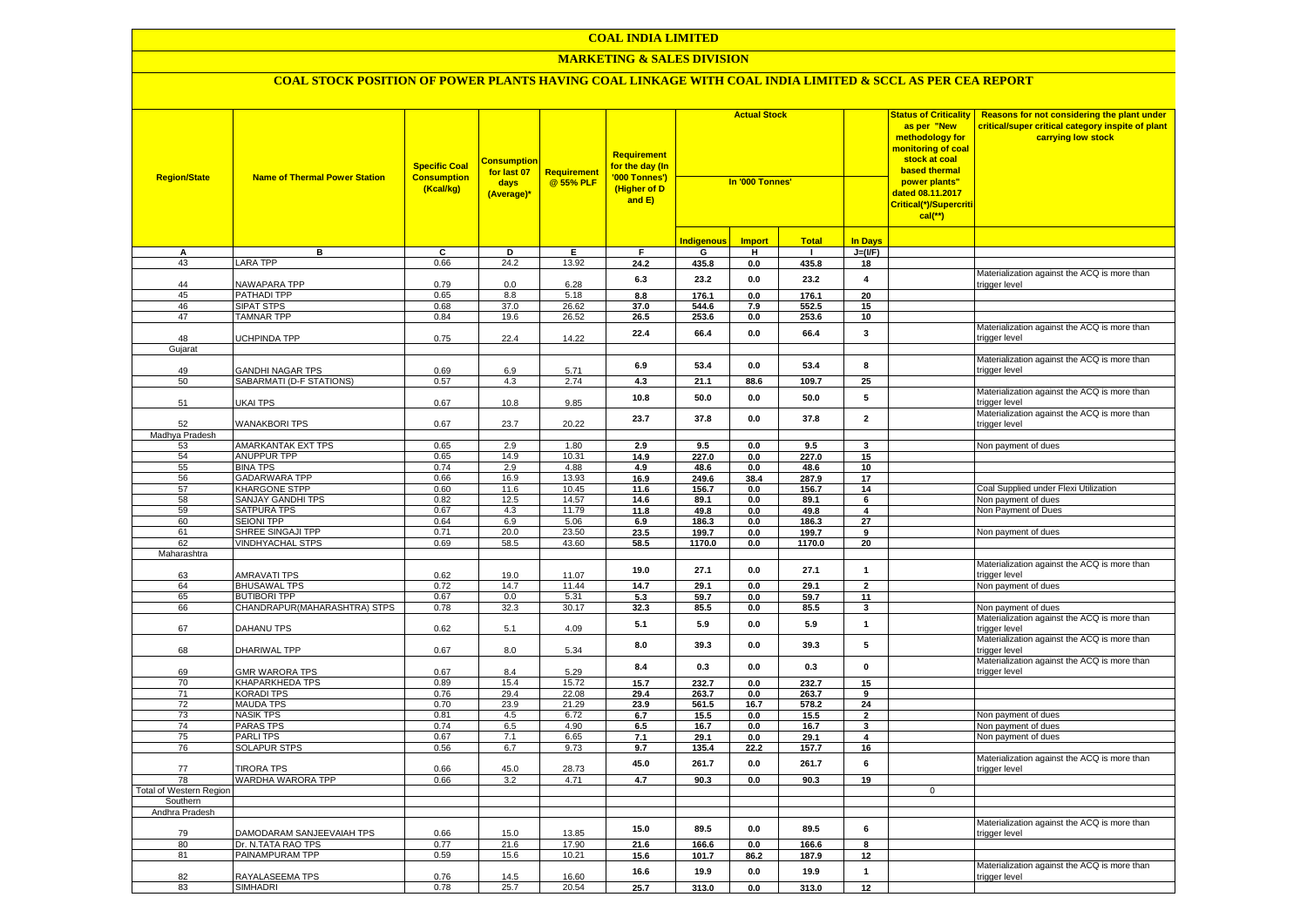## **COAL INDIA LIMITED**

## **MARKETING & SALES DIVISION**

| <b>Region/State</b>     | <b>Name of Thermal Power Station</b>         | <b>Specific Coal</b><br><b>Consumption</b><br>(Kcal/kg) | <b>Consumption</b><br>for last 07<br>days<br>(Average)* | <b>Requirement</b><br>@ 55% PLF | <b>Requirement</b><br>for the day (In<br>'000 Tonnes')<br>(Higher of D<br>and E) | <b>Actual Stock</b><br>In '000 Tonnes' |               |                | <b>Status of Criticality</b><br>as per "New<br>methodology for<br><mark>monitoring of coal</mark><br>stock at coal<br>based thermal<br>power plants"<br>dated 08.11.2017<br>Critical(*)/Supercriti<br>$cal$ (**) | Reasons for not considering the plant under<br>critical/super critical category inspite of plant<br>carrying low stock |                                                               |
|-------------------------|----------------------------------------------|---------------------------------------------------------|---------------------------------------------------------|---------------------------------|----------------------------------------------------------------------------------|----------------------------------------|---------------|----------------|------------------------------------------------------------------------------------------------------------------------------------------------------------------------------------------------------------------|------------------------------------------------------------------------------------------------------------------------|---------------------------------------------------------------|
|                         |                                              |                                                         |                                                         |                                 |                                                                                  | <b>Indigenous</b>                      | <b>Import</b> | <b>Total</b>   | In Days                                                                                                                                                                                                          |                                                                                                                        |                                                               |
| А                       | в                                            | c                                                       | D                                                       | Е.                              | F                                                                                | G                                      | н.            | $\mathbf{I}$   | $J=(I/F)$                                                                                                                                                                                                        |                                                                                                                        |                                                               |
| 43                      | <b>LARA TPP</b>                              | 0.66                                                    | 24.2                                                    | 13.92                           | 24.2                                                                             | 435.8                                  | 0.0           | 435.8          | 18                                                                                                                                                                                                               |                                                                                                                        |                                                               |
|                         |                                              |                                                         |                                                         |                                 | 6.3                                                                              | 23.2                                   | 0.0           | 23.2           | $\overline{4}$                                                                                                                                                                                                   |                                                                                                                        | Materialization against the ACQ is more than                  |
| 44                      | NAWAPARA TPP                                 | 0.79                                                    | 0.0                                                     | 6.28                            |                                                                                  |                                        |               |                |                                                                                                                                                                                                                  |                                                                                                                        | trigger level                                                 |
| 45                      | PATHADI TPP                                  | 0.65                                                    | 8.8                                                     | 5.18                            | 8.8                                                                              | 176.1                                  | 0.0           | 176.1          | 20                                                                                                                                                                                                               |                                                                                                                        |                                                               |
| 46                      | <b>SIPAT STPS</b>                            | 0.68                                                    | 37.0                                                    | 26.62                           | 37.0                                                                             | 544.6                                  | 7.9           | 552.5          | 15                                                                                                                                                                                                               |                                                                                                                        |                                                               |
| 47                      | <b>TAMNAR TPP</b>                            | 0.84                                                    | 19.6                                                    | 26.52                           | 26.5                                                                             | 253.6                                  | $0.0\,$       | 253.6          | 10                                                                                                                                                                                                               |                                                                                                                        |                                                               |
| 48                      | <b>JCHPINDA TPP</b>                          | 0.75                                                    | 22.4                                                    | 14.22                           | 22.4                                                                             | 66.4                                   | 0.0           | 66.4           | 3                                                                                                                                                                                                                |                                                                                                                        | Materialization against the ACQ is more than<br>trigger level |
| Gujarat                 |                                              |                                                         |                                                         |                                 |                                                                                  |                                        |               |                |                                                                                                                                                                                                                  |                                                                                                                        |                                                               |
|                         |                                              |                                                         |                                                         |                                 |                                                                                  |                                        |               |                |                                                                                                                                                                                                                  |                                                                                                                        | Materialization against the ACQ is more than                  |
| 49                      | GANDHI NAGAR TPS                             | 0.69                                                    | 6.9                                                     | 5.71                            | 6.9                                                                              | 53.4                                   | 0.0           | 53.4           | 8                                                                                                                                                                                                                |                                                                                                                        | trigger level                                                 |
| 50                      | SABARMATI (D-F STATIONS)                     | 0.57                                                    | 4.3                                                     | 2.74                            | 4.3                                                                              | 21.1                                   | 88.6          | 109.7          | 25                                                                                                                                                                                                               |                                                                                                                        |                                                               |
|                         |                                              |                                                         |                                                         |                                 |                                                                                  |                                        |               |                | 5                                                                                                                                                                                                                |                                                                                                                        | Materialization against the ACQ is more than                  |
| 51                      | UKAI TPS                                     | 0.67                                                    | 10.8                                                    | 9.85                            | 10.8                                                                             | 50.0                                   | 0.0           | 50.0           |                                                                                                                                                                                                                  |                                                                                                                        | trigger level                                                 |
|                         |                                              |                                                         |                                                         |                                 | 23.7                                                                             | 37.8                                   | 0.0           | 37.8           | $\overline{\mathbf{2}}$                                                                                                                                                                                          |                                                                                                                        | Materialization against the ACQ is more than                  |
| 52                      | <b>WANAKBORI TPS</b>                         | 0.67                                                    | 23.7                                                    | 20.22                           |                                                                                  |                                        |               |                |                                                                                                                                                                                                                  |                                                                                                                        | trigger level                                                 |
| Madhya Pradesh          |                                              |                                                         |                                                         |                                 |                                                                                  |                                        |               |                |                                                                                                                                                                                                                  |                                                                                                                        |                                                               |
| 53                      | AMARKANTAK EXT TPS                           | 0.65                                                    | 2.9                                                     | 1.80                            | 2.9                                                                              | 9.5                                    | 0.0           | 9.5            | 3                                                                                                                                                                                                                |                                                                                                                        | Non payment of dues                                           |
| 54                      | <b>ANUPPUR TPP</b>                           | 0.65                                                    | 14.9                                                    | 10.31                           | 14.9                                                                             | 227.0                                  | 0.0           | 227.0          | 15                                                                                                                                                                                                               |                                                                                                                        |                                                               |
| 55                      | <b>BINA TPS</b><br><b>GADARWARA TPP</b>      | 0.74<br>0.66                                            | 2.9<br>16.9                                             | 4.88<br>13.93                   | 4.9                                                                              | 48.6                                   | 0.0           | 48.6           | 10                                                                                                                                                                                                               |                                                                                                                        |                                                               |
| 56<br>57                | KHARGONE STPP                                | 0.60                                                    | 11.6                                                    | 10.45                           | 16.9                                                                             | 249.6                                  | 38.4          | 287.9          | 17                                                                                                                                                                                                               |                                                                                                                        | Coal Supplied under Flexi Utilization                         |
| 58                      |                                              |                                                         | 12.5                                                    | 14.57                           | 11.6                                                                             | 156.7                                  | 0.0           | 156.7          | 14                                                                                                                                                                                                               |                                                                                                                        | Non payment of dues                                           |
| 59                      | SANJAY GANDHI TPS<br>SATPURA TPS             | 0.82<br>0.67                                            | 4.3                                                     | 11.79                           | 14.6<br>11.8                                                                     | 89.1<br>49.8                           | 0.0           | 89.1           | 6<br>$\overline{4}$                                                                                                                                                                                              |                                                                                                                        | Non Payment of Dues                                           |
| 60                      | <b>SEIONI TPP</b>                            | 0.64                                                    | 6.9                                                     | 5.06                            | 6.9                                                                              |                                        | 0.0           | 49.8<br>186.3  | 27                                                                                                                                                                                                               |                                                                                                                        |                                                               |
| 61                      |                                              | 0.71                                                    | 20.0                                                    | 23.50                           |                                                                                  | 186.3                                  | 0.0           |                |                                                                                                                                                                                                                  |                                                                                                                        | Non payment of dues                                           |
| 62                      | SHREE SINGAJI TPP<br><b>VINDHYACHAL STPS</b> | 0.69                                                    | 58.5                                                    | 43.60                           | 23.5                                                                             | 199.7<br>1170.0                        | 0.0           | 199.7          | 9<br>20                                                                                                                                                                                                          |                                                                                                                        |                                                               |
| Maharashtra             |                                              |                                                         |                                                         |                                 | 58.5                                                                             |                                        | 0.0           | 1170.0         |                                                                                                                                                                                                                  |                                                                                                                        |                                                               |
|                         |                                              |                                                         |                                                         |                                 |                                                                                  |                                        |               |                |                                                                                                                                                                                                                  |                                                                                                                        | Materialization against the ACQ is more than                  |
| 63                      | <b>AMRAVATI TPS</b>                          | 0.62                                                    | 19.0                                                    | 11.07                           | 19.0                                                                             | 27.1                                   | 0.0           | 27.1           | $\mathbf{1}$                                                                                                                                                                                                     |                                                                                                                        | trigger level                                                 |
| 64                      | <b>BHUSAWAL TPS</b>                          | 0.72                                                    | 14.7                                                    | 11.44                           | 14.7                                                                             | 29.1                                   | 0.0           | 29.1           | $\overline{2}$                                                                                                                                                                                                   |                                                                                                                        | Non payment of dues                                           |
| 65                      | <b>BUTIBORI TPP</b>                          | 0.67                                                    | 0.0                                                     | 5.31                            | 5.3                                                                              | 59.7                                   | 0.0           | 59.7           | 11                                                                                                                                                                                                               |                                                                                                                        |                                                               |
| 66                      | CHANDRAPUR(MAHARASHTRA) STPS                 | 0.78                                                    | 32.3                                                    | 30.17                           | 32.3                                                                             | 85.5                                   | $0.0\,$       | 85.5           | 3                                                                                                                                                                                                                |                                                                                                                        | Non payment of dues                                           |
|                         |                                              |                                                         |                                                         |                                 | 5.1                                                                              | 5.9                                    | $0.0\,$       | 5.9            | $\mathbf{1}$                                                                                                                                                                                                     |                                                                                                                        | Materialization against the ACQ is more than                  |
| 67                      | <b>DAHANU TPS</b>                            | 0.62                                                    | 5.1                                                     | 4.09                            |                                                                                  |                                        |               |                |                                                                                                                                                                                                                  |                                                                                                                        | trigger level                                                 |
|                         |                                              |                                                         |                                                         |                                 | 8.0                                                                              | 39.3                                   | 0.0           | 39.3           | 5                                                                                                                                                                                                                |                                                                                                                        | Materialization against the ACQ is more than                  |
| 68                      | DHARIWAL TPP                                 | 0.67                                                    | 8.0                                                     | 5.34                            |                                                                                  |                                        |               |                |                                                                                                                                                                                                                  |                                                                                                                        | trigger level                                                 |
|                         |                                              |                                                         |                                                         |                                 | 8.4                                                                              | 0.3                                    | 0.0           | 0.3            | 0                                                                                                                                                                                                                |                                                                                                                        | Materialization against the ACQ is more than                  |
| 69                      | GMR WARORA TPS                               | 0.67                                                    | 8.4                                                     | 5.29                            |                                                                                  |                                        |               |                |                                                                                                                                                                                                                  |                                                                                                                        | trigger level                                                 |
| 70<br>71                | KHAPARKHEDA TPS<br><b>KORADI TPS</b>         | 0.89<br>0.76                                            | 15.4<br>29.4                                            | 15.72<br>22.08                  | 15.7<br>29.4                                                                     | 232.7<br>263.7                         | 0.0<br>0.0    | 232.7<br>263.7 | 15<br>9                                                                                                                                                                                                          |                                                                                                                        |                                                               |
| 72                      | <b>MAUDA TPS</b>                             | 0.70                                                    | 23.9                                                    | 21.29                           | 23.9                                                                             | 561.5                                  | 16.7          | 578.2          | 24                                                                                                                                                                                                               |                                                                                                                        |                                                               |
| 73                      | <b>NASIK TPS</b>                             | 0.81                                                    | 4.5                                                     | 6.72                            | 6.7                                                                              | 15.5                                   | 0.0           | 15.5           | $\overline{\mathbf{2}}$                                                                                                                                                                                          |                                                                                                                        | Non payment of dues                                           |
| 74                      | PARAS TPS                                    | 0.74                                                    | 6.5                                                     | 4.90                            | 6.5                                                                              | 16.7                                   | 0.0           | 16.7           | $\overline{\mathbf{3}}$                                                                                                                                                                                          |                                                                                                                        | Non payment of dues                                           |
| 75                      | PARLI TPS                                    | 0.67                                                    | 7.1                                                     | 6.65                            | 7.1                                                                              | 29.1                                   | 0.0           | 29.1           | 4                                                                                                                                                                                                                |                                                                                                                        | Non payment of dues                                           |
| 76                      | <b>SOLAPUR STPS</b>                          | 0.56                                                    | 6.7                                                     | 9.73                            | 9.7                                                                              | 135.4                                  | 22.2          | 157.7          | 16                                                                                                                                                                                                               |                                                                                                                        |                                                               |
|                         |                                              |                                                         |                                                         |                                 |                                                                                  |                                        |               |                |                                                                                                                                                                                                                  |                                                                                                                        | Materialization against the ACQ is more than                  |
| 77                      | <b>FIRORA TPS</b>                            | 0.66                                                    | 45.0                                                    | 28.73                           | 45.0                                                                             | 261.7                                  | 0.0           | 261.7          | 6                                                                                                                                                                                                                |                                                                                                                        | trigger level                                                 |
| 78                      | WARDHA WARORA TPP                            | 0.66                                                    | 3.2                                                     | 4.71                            | 4.7                                                                              | 90.3                                   | 0.0           | 90.3           | 19                                                                                                                                                                                                               |                                                                                                                        |                                                               |
| Total of Western Region |                                              |                                                         |                                                         |                                 |                                                                                  |                                        |               |                |                                                                                                                                                                                                                  | $\Omega$                                                                                                               |                                                               |
| Southern                |                                              |                                                         |                                                         |                                 |                                                                                  |                                        |               |                |                                                                                                                                                                                                                  |                                                                                                                        |                                                               |
| Andhra Pradesh          |                                              |                                                         |                                                         |                                 |                                                                                  |                                        |               |                |                                                                                                                                                                                                                  |                                                                                                                        |                                                               |
|                         |                                              |                                                         |                                                         |                                 | 15.0                                                                             | 89.5                                   | 0.0           | 89.5           | 6                                                                                                                                                                                                                |                                                                                                                        | Materialization against the ACQ is more than                  |
| 79                      | DAMODARAM SANJEEVAIAH TPS                    | 0.66                                                    | 15.0                                                    | 13.85                           |                                                                                  |                                        |               |                |                                                                                                                                                                                                                  |                                                                                                                        | trigger level                                                 |
| 80                      | Dr. N.TATA RAO TPS                           | 0.77                                                    | 21.6                                                    | 17.90                           | 21.6                                                                             | 166.6                                  | 0.0           | 166.6          | 8                                                                                                                                                                                                                |                                                                                                                        |                                                               |
| 81                      | PAINAMPURAM TPP                              | 0.59                                                    | 15.6                                                    | 10.21                           | 15.6                                                                             | 101.7                                  | 86.2          | 187.9          | 12                                                                                                                                                                                                               |                                                                                                                        |                                                               |
|                         |                                              |                                                         |                                                         |                                 | 16.6                                                                             | 19.9                                   | 0.0           | 19.9           | $\mathbf{1}$                                                                                                                                                                                                     |                                                                                                                        | Materialization against the ACQ is more than                  |
| 82                      | RAYALASEEMA TPS                              | 0.76                                                    | 14.5                                                    | 16.60                           |                                                                                  |                                        |               |                |                                                                                                                                                                                                                  |                                                                                                                        | trigger level                                                 |
| 83                      | <b>SIMHADRI</b>                              | 0.78                                                    | 25.7                                                    | 20.54                           | 25.7                                                                             | 313.0                                  | 0.0           | 313.0          | 12                                                                                                                                                                                                               |                                                                                                                        |                                                               |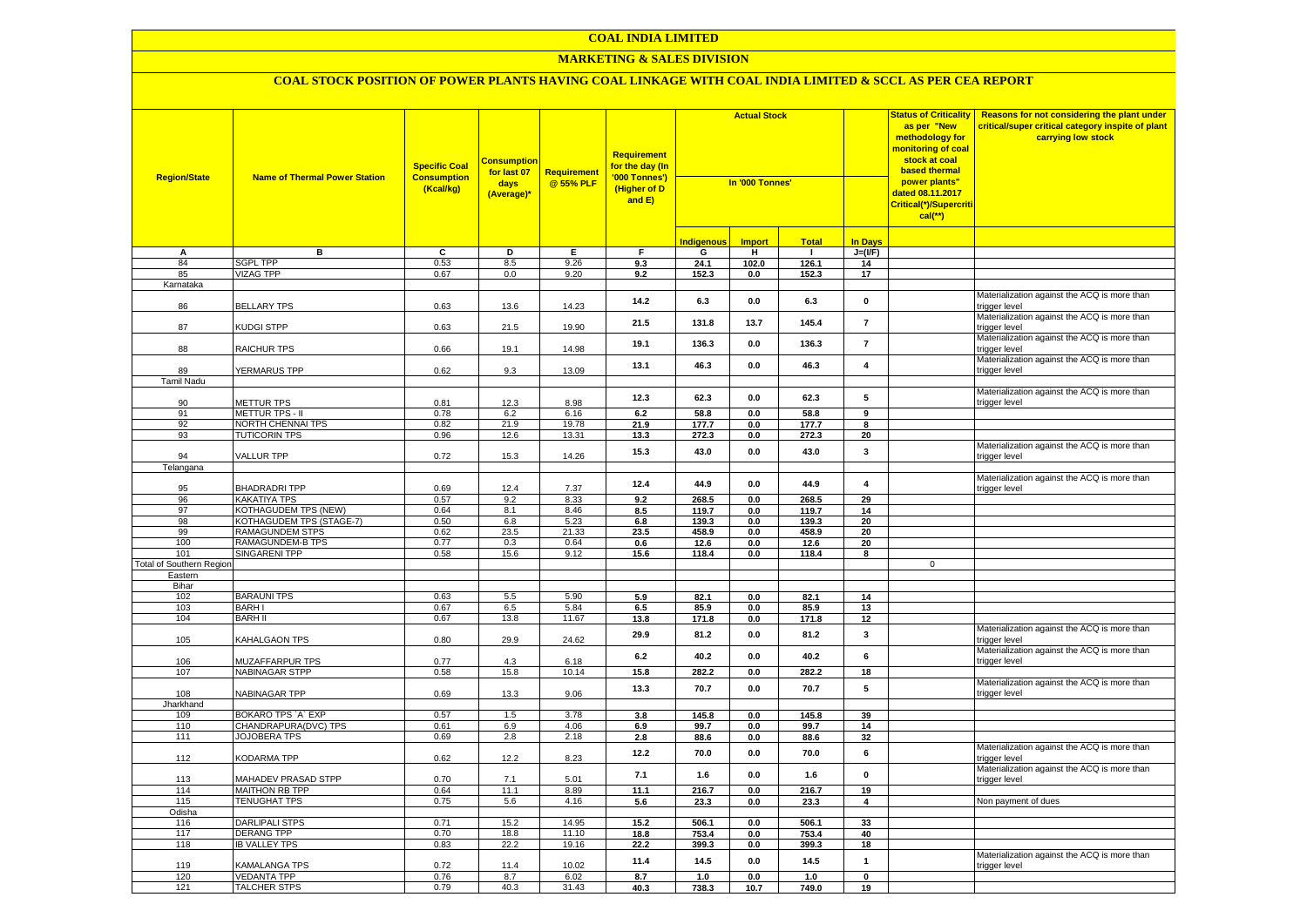## **COAL INDIA LIMITED**

#### **MARKETING & SALES DIVISION**

| <b>Region/State</b>             | <b>Name of Thermal Power Station</b>       | <b>Specific Coal</b><br><b>Consumption</b><br>(Kcal/kg) | <b>Consumption</b><br>for last 07<br>days<br>(Average)* | <b>Requirement</b><br>@ 55% PLF | <b>Requirement</b><br>for the day (In<br>'000 Tonnes')<br>(Higher of D<br>and E) | <b>Actual Stock</b><br>In '000 Tonnes' |               |                |                         | <b>Status of Criticality</b><br>as per "New<br>methodology for<br><mark>monitoring of coal</mark><br>stock at coal<br>based thermal<br>power plants"<br>dated 08.11.2017<br>Critical(*)/Supercriti<br>$cal$ (**) | Reasons for not considering the plant under<br>critical/super critical category inspite of plant<br>carrying low stock |
|---------------------------------|--------------------------------------------|---------------------------------------------------------|---------------------------------------------------------|---------------------------------|----------------------------------------------------------------------------------|----------------------------------------|---------------|----------------|-------------------------|------------------------------------------------------------------------------------------------------------------------------------------------------------------------------------------------------------------|------------------------------------------------------------------------------------------------------------------------|
|                                 |                                            |                                                         |                                                         |                                 |                                                                                  | <b>Indigenous</b>                      | <b>Import</b> | <b>Total</b>   | <b>In Days</b>          |                                                                                                                                                                                                                  |                                                                                                                        |
| А                               | в                                          | c                                                       | Þ                                                       | Е                               | F.                                                                               | G                                      | н.            | $\mathbf{L}$   | $J=(I/F)$               |                                                                                                                                                                                                                  |                                                                                                                        |
| 84                              | SGPL TPP                                   | 0.53                                                    | 8.5                                                     | 9.26                            | 9.3                                                                              | 24.1                                   | 102.0         | 126.1          | 14                      |                                                                                                                                                                                                                  |                                                                                                                        |
| 85                              | <b>VIZAG TPP</b>                           | 0.67                                                    | 0.0                                                     | 9.20                            | 9.2                                                                              | 152.3                                  | 0.0           | 152.3          | 17                      |                                                                                                                                                                                                                  |                                                                                                                        |
| Karnataka                       |                                            |                                                         |                                                         |                                 |                                                                                  |                                        |               |                |                         |                                                                                                                                                                                                                  |                                                                                                                        |
| 86                              | <b>BELLARY TPS</b>                         | 0.63                                                    | 13.6                                                    | 14.23                           | 14.2                                                                             | 6.3                                    | 0.0           | 6.3            | 0                       |                                                                                                                                                                                                                  | Materialization against the ACQ is more than<br>rigger level                                                           |
| 87                              | <b>KUDGI STPP</b>                          | 0.63                                                    | 21.5                                                    | 19.90                           | 21.5                                                                             | 131.8                                  | 13.7          | 145.4          | $\overline{7}$          |                                                                                                                                                                                                                  | Materialization against the ACQ is more than<br>trigger level                                                          |
| 88                              | RAICHUR TPS                                | 0.66                                                    | 19.1                                                    | 14.98                           | 19.1                                                                             | 136.3                                  | 0.0           | 136.3          | $\overline{7}$          |                                                                                                                                                                                                                  | Materialization against the ACQ is more than<br>trigger level                                                          |
| 89                              | YERMARUS TPP                               | 0.62                                                    | 9.3                                                     | 13.09                           | 13.1                                                                             | 46.3                                   | 0.0           | 46.3           | $\overline{4}$          |                                                                                                                                                                                                                  | Materialization against the ACQ is more than<br>trigger level                                                          |
| Tamil Nadu                      |                                            |                                                         |                                                         |                                 |                                                                                  |                                        |               |                |                         |                                                                                                                                                                                                                  |                                                                                                                        |
| 90                              | <b>METTUR TPS</b>                          | 0.81                                                    | 12.3                                                    | 8.98                            | 12.3                                                                             | 62.3                                   | $0.0\,$       | 62.3           | 5                       |                                                                                                                                                                                                                  | Materialization against the ACQ is more than<br>rigger level                                                           |
| 91                              | <b>METTUR TPS - II</b>                     | 0.78                                                    | 6.2                                                     | 6.16                            | 6.2                                                                              | 58.8                                   | 0.0           | 58.8           | $\overline{9}$          |                                                                                                                                                                                                                  |                                                                                                                        |
| 92                              | NORTH CHENNAI TPS                          | 0.82                                                    | 21.9                                                    | 19.78                           | 21.9                                                                             | 177.7                                  | 0.0           | 177.7          | 8                       |                                                                                                                                                                                                                  |                                                                                                                        |
| 93                              | <b>TUTICORIN TPS</b>                       | 0.96                                                    | 12.6                                                    | 13.31                           | 13.3                                                                             | 272.3                                  | 0.0           | 272.3          | 20                      |                                                                                                                                                                                                                  |                                                                                                                        |
| 94                              | <b>VALLUR TPP</b>                          | 0.72                                                    | 15.3                                                    | 14.26                           | 15.3                                                                             | 43.0                                   | 0.0           | 43.0           | 3                       |                                                                                                                                                                                                                  | Materialization against the ACQ is more than<br>trigger level                                                          |
| Telangana                       |                                            |                                                         |                                                         |                                 |                                                                                  |                                        |               |                |                         |                                                                                                                                                                                                                  |                                                                                                                        |
|                                 |                                            |                                                         |                                                         |                                 | 12.4                                                                             | 44.9                                   | 0.0           | 44.9           | $\overline{\mathbf{4}}$ |                                                                                                                                                                                                                  | Materialization against the ACQ is more than                                                                           |
| 95                              | <b>BHADRADRITPP</b><br><b>KAKATIYA TPS</b> | 0.69<br>0.57                                            | 12.4                                                    | 7.37                            |                                                                                  |                                        |               |                |                         |                                                                                                                                                                                                                  | trigger level                                                                                                          |
| 96<br>97                        | <b>KOTHAGUDEM TPS (NEW)</b>                | 0.64                                                    | 9.2<br>8.1                                              | 8.33<br>8.46                    | 9.2                                                                              | 268.5<br>119.7                         | 0.0<br>0.0    | 268.5<br>119.7 | 29<br>14                |                                                                                                                                                                                                                  |                                                                                                                        |
| 98                              | KOTHAGUDEM TPS (STAGE-7)                   | 0.50                                                    | 6.8                                                     | 5.23                            | 8.5<br>6.8                                                                       | 139.3                                  | 0.0           | 139.3          | 20                      |                                                                                                                                                                                                                  |                                                                                                                        |
| 99                              | RAMAGUNDEM STPS                            | 0.62                                                    | 23.5                                                    | 21.33                           | 23.5                                                                             | 458.9                                  | 0.0           | 458.9          | 20                      |                                                                                                                                                                                                                  |                                                                                                                        |
| 100                             | RAMAGUNDEM-B TPS                           | 0.77                                                    | 0.3                                                     | 0.64                            | 0.6                                                                              | 12.6                                   | 0.0           | 12.6           | 20                      |                                                                                                                                                                                                                  |                                                                                                                        |
| 101                             | SINGARENI TPP                              | 0.58                                                    | 15.6                                                    | 9.12                            | 15.6                                                                             | 118.4                                  | 0.0           | 118.4          | 8                       |                                                                                                                                                                                                                  |                                                                                                                        |
| <b>Total of Southern Region</b> |                                            |                                                         |                                                         |                                 |                                                                                  |                                        |               |                |                         | $\mathbf 0$                                                                                                                                                                                                      |                                                                                                                        |
| Eastern                         |                                            |                                                         |                                                         |                                 |                                                                                  |                                        |               |                |                         |                                                                                                                                                                                                                  |                                                                                                                        |
| Bihar<br>102                    | <b>BARAUNI TPS</b>                         | 0.63                                                    | 5.5                                                     | 5.90                            | 5.9                                                                              | 82.1                                   | 0.0           | 82.1           | 14                      |                                                                                                                                                                                                                  |                                                                                                                        |
| 103                             | <b>BARHI</b>                               | 0.67                                                    | 6.5                                                     | 5.84                            | 6.5                                                                              | 85.9                                   | 0.0           | 85.9           | 13                      |                                                                                                                                                                                                                  |                                                                                                                        |
| 104                             | <b>BARH II</b>                             | 0.67                                                    | 13.8                                                    | 11.67                           | 13.8                                                                             | 171.8                                  | $0.0\,$       | 171.8          | 12                      |                                                                                                                                                                                                                  |                                                                                                                        |
| 105                             | KAHALGAON TPS                              | 0.80                                                    | 29.9                                                    | 24.62                           | 29.9                                                                             | 81.2                                   | $0.0\,$       | 81.2           | 3                       |                                                                                                                                                                                                                  | Materialization against the ACQ is more than<br>rigger level                                                           |
| 106                             | MUZAFFARPUR TPS                            | 0.77                                                    | 4.3                                                     | 6.18                            | 6.2                                                                              | 40.2                                   | 0.0           | 40.2           | 6                       |                                                                                                                                                                                                                  | Materialization against the ACQ is more than<br>trigger level                                                          |
| 107                             | <b>NABINAGAR STPP</b>                      | 0.58                                                    | 15.8                                                    | 10.14                           | 15.8                                                                             | 282.2                                  | 0.0           | 282.2          | 18                      |                                                                                                                                                                                                                  |                                                                                                                        |
| 108                             | NABINAGAR TPP                              | 0.69                                                    | 13.3                                                    | 9.06                            | 13.3                                                                             | 70.7                                   | $0.0\,$       | 70.7           | 5                       |                                                                                                                                                                                                                  | Materialization against the ACQ is more than<br>rigger level                                                           |
| Jharkhand                       |                                            |                                                         |                                                         |                                 |                                                                                  |                                        |               |                |                         |                                                                                                                                                                                                                  |                                                                                                                        |
| 109                             | BOKARO TPS `A` EXP                         | 0.57                                                    | 1.5                                                     | 3.78                            | 3.8                                                                              | 145.8                                  | 0.0           | 145.8          | 39                      |                                                                                                                                                                                                                  |                                                                                                                        |
| 110                             | CHANDRAPURA(DVC) TPS                       | 0.61                                                    | 6.9                                                     | 4.06                            | 6.9                                                                              | 99.7                                   | 0.0           | 99.7           | 14                      |                                                                                                                                                                                                                  |                                                                                                                        |
| 111                             | JOJOBERA TPS                               | 0.69                                                    | 2.8                                                     | 2.18                            | 2.8                                                                              | 88.6                                   | 0.0           | 88.6           | 32                      |                                                                                                                                                                                                                  |                                                                                                                        |
| 112                             | <b>KODARMA TPP</b>                         | 0.62                                                    | 12.2                                                    | 8.23                            | 12.2                                                                             | 70.0                                   | 0.0           | 70.0           | 6                       |                                                                                                                                                                                                                  | Materialization against the ACQ is more than<br>rigger level                                                           |
| 113                             | <b>MAHADEV PRASAD STPP</b>                 | 0.70                                                    | 7.1                                                     | 5.01                            | 7.1                                                                              | 1.6                                    | 0.0           | 1.6            | $\pmb{0}$               |                                                                                                                                                                                                                  | Materialization against the ACQ is more than<br>trigger level                                                          |
| 114                             | <b>MAITHON RB TPP</b>                      | 0.64                                                    | 11.1                                                    | 8.89                            | 11.1                                                                             | 216.7                                  | 0.0           | 216.7          | 19                      |                                                                                                                                                                                                                  |                                                                                                                        |
| 115                             | <b>TENUGHAT TPS</b>                        | 0.75                                                    | 5.6                                                     | 4.16                            | 5.6                                                                              | 23.3                                   | 0.0           | 23.3           | $\overline{\mathbf{4}}$ |                                                                                                                                                                                                                  | Non payment of dues                                                                                                    |
| Odisha                          |                                            |                                                         |                                                         |                                 |                                                                                  |                                        |               |                |                         |                                                                                                                                                                                                                  |                                                                                                                        |
| 116                             | <b>DARLIPALI STPS</b>                      | 0.71                                                    | 15.2                                                    | 14.95                           | 15.2                                                                             | 506.1                                  | 0.0           | 506.1          | 33                      |                                                                                                                                                                                                                  |                                                                                                                        |
| 117<br>118                      | <b>DERANG TPP</b><br><b>IB VALLEY TPS</b>  | 0.70<br>0.83                                            | 18.8<br>22.2                                            | 11.10<br>19.16                  | 18.8<br>22.2                                                                     | 753.4<br>399.3                         | 0.0<br>0.0    | 753.4<br>399.3 | 40<br>18                |                                                                                                                                                                                                                  |                                                                                                                        |
|                                 |                                            |                                                         |                                                         |                                 | 11.4                                                                             | 14.5                                   | $0.0\,$       | 14.5           | $\mathbf{1}$            |                                                                                                                                                                                                                  | Materialization against the ACQ is more than                                                                           |
| 119<br>120                      | <b>KAMALANGA TPS</b><br><b>VEDANTA TPP</b> | 0.72<br>0.76                                            | 11.4<br>8.7                                             | 10.02<br>6.02                   | 8.7                                                                              | 1.0                                    | 0.0           | 1.0            | $\mathbf 0$             |                                                                                                                                                                                                                  | trigger level                                                                                                          |
| 121                             | <b>TALCHER STPS</b>                        | 0.79                                                    | 40.3                                                    | 31.43                           | 40.3                                                                             | 738.3                                  | 10.7          | 749.0          | 19                      |                                                                                                                                                                                                                  |                                                                                                                        |
|                                 |                                            |                                                         |                                                         |                                 |                                                                                  |                                        |               |                |                         |                                                                                                                                                                                                                  |                                                                                                                        |